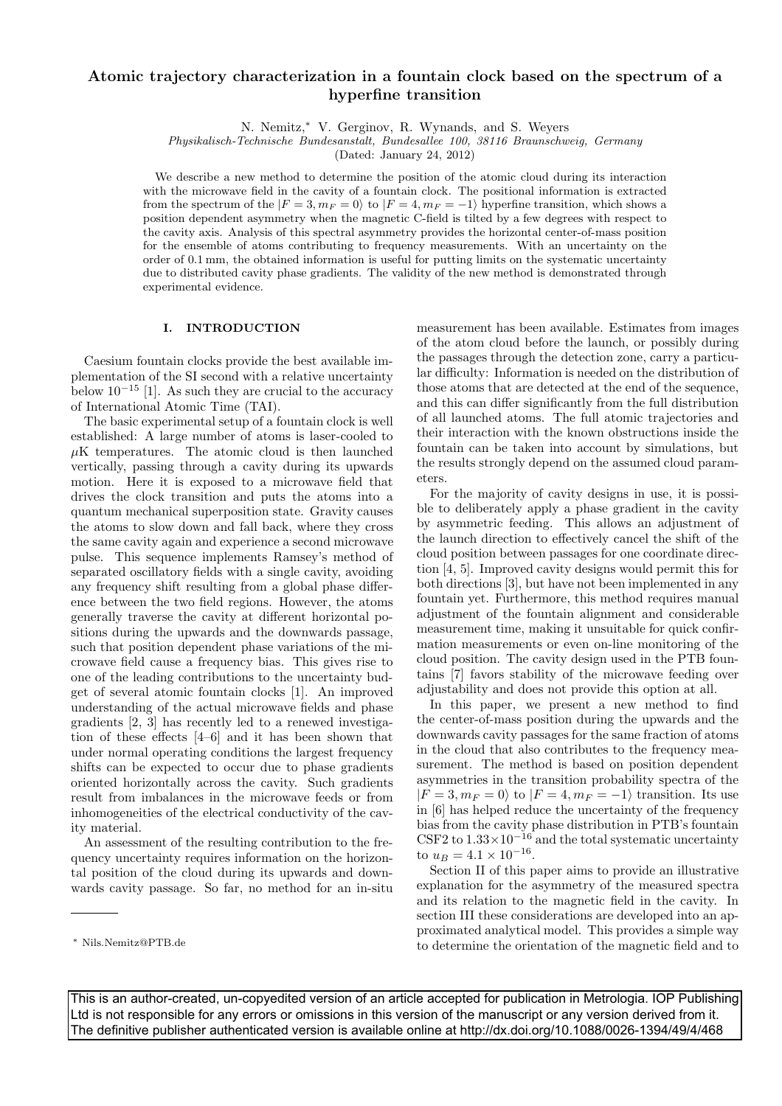# Atomic trajectory characterization in a fountain clock based on the spectrum of a hyperfine transition

N. Nemitz,<sup>∗</sup> V. Gerginov, R. Wynands, and S. Weyers

Physikalisch-Technische Bundesanstalt, Bundesallee 100, 38116 Braunschweig, Germany

(Dated: January 24, 2012)

We describe a new method to determine the position of the atomic cloud during its interaction with the microwave field in the cavity of a fountain clock. The positional information is extracted from the spectrum of the  $|F = 3, m_F = 0\rangle$  to  $|F = 4, m_F = -1\rangle$  hyperfine transition, which shows a position dependent asymmetry when the magnetic C-field is tilted by a few degrees with respect to the cavity axis. Analysis of this spectral asymmetry provides the horizontal center-of-mass position for the ensemble of atoms contributing to frequency measurements. With an uncertainty on the order of 0.1 mm, the obtained information is useful for putting limits on the systematic uncertainty due to distributed cavity phase gradients. The validity of the new method is demonstrated through experimental evidence.

#### I. INTRODUCTION

Caesium fountain clocks provide the best available implementation of the SI second with a relative uncertainty below  $10^{-15}$  [1]. As such they are crucial to the accuracy of International Atomic Time (TAI).

The basic experimental setup of a fountain clock is well established: A large number of atoms is laser-cooled to  $\mu$ K temperatures. The atomic cloud is then launched vertically, passing through a cavity during its upwards motion. Here it is exposed to a microwave field that drives the clock transition and puts the atoms into a quantum mechanical superposition state. Gravity causes the atoms to slow down and fall back, where they cross the same cavity again and experience a second microwave pulse. This sequence implements Ramsey's method of separated oscillatory fields with a single cavity, avoiding any frequency shift resulting from a global phase difference between the two field regions. However, the atoms generally traverse the cavity at different horizontal positions during the upwards and the downwards passage, such that position dependent phase variations of the microwave field cause a frequency bias. This gives rise to one of the leading contributions to the uncertainty budget of several atomic fountain clocks [1]. An improved understanding of the actual microwave fields and phase gradients [2, 3] has recently led to a renewed investigation of these effects [4–6] and it has been shown that under normal operating conditions the largest frequency shifts can be expected to occur due to phase gradients oriented horizontally across the cavity. Such gradients result from imbalances in the microwave feeds or from inhomogeneities of the electrical conductivity of the cavity material.

An assessment of the resulting contribution to the frequency uncertainty requires information on the horizontal position of the cloud during its upwards and downwards cavity passage. So far, no method for an in-situ measurement has been available. Estimates from images of the atom cloud before the launch, or possibly during the passages through the detection zone, carry a particular difficulty: Information is needed on the distribution of those atoms that are detected at the end of the sequence, and this can differ significantly from the full distribution of all launched atoms. The full atomic trajectories and their interaction with the known obstructions inside the fountain can be taken into account by simulations, but the results strongly depend on the assumed cloud parameters.

For the majority of cavity designs in use, it is possible to deliberately apply a phase gradient in the cavity by asymmetric feeding. This allows an adjustment of the launch direction to effectively cancel the shift of the cloud position between passages for one coordinate direction [4, 5]. Improved cavity designs would permit this for both directions [3], but have not been implemented in any fountain yet. Furthermore, this method requires manual adjustment of the fountain alignment and considerable measurement time, making it unsuitable for quick confirmation measurements or even on-line monitoring of the cloud position. The cavity design used in the PTB fountains [7] favors stability of the microwave feeding over adjustability and does not provide this option at all.

In this paper, we present a new method to find the center-of-mass position during the upwards and the downwards cavity passages for the same fraction of atoms in the cloud that also contributes to the frequency measurement. The method is based on position dependent asymmetries in the transition probability spectra of the  $|F = 3, m_F = 0\rangle$  to  $|F = 4, m_F = -1\rangle$  transition. Its use in [6] has helped reduce the uncertainty of the frequency bias from the cavity phase distribution in PTB's fountain CSF2 to  $1.33\times10^{-16}$  and the total systematic uncertainty to  $u_B = 4.1 \times 10^{-16}$ .

Section II of this paper aims to provide an illustrative explanation for the asymmetry of the measured spectra and its relation to the magnetic field in the cavity. In section III these considerations are developed into an approximated analytical model. This provides a simple way to determine the orientation of the magnetic field and to

This is an author-created, un-copyedited version of an article accepted for publication in Metrologia. IOP Publishing Ltd is not responsible for any errors or omissions in this version of the manuscript or any version derived from it. The definitive publisher authenticated version is available online at http://dx.doi.org/10.1088/0026-1394/49/4/468

<sup>∗</sup> Nils.Nemitz@PTB.de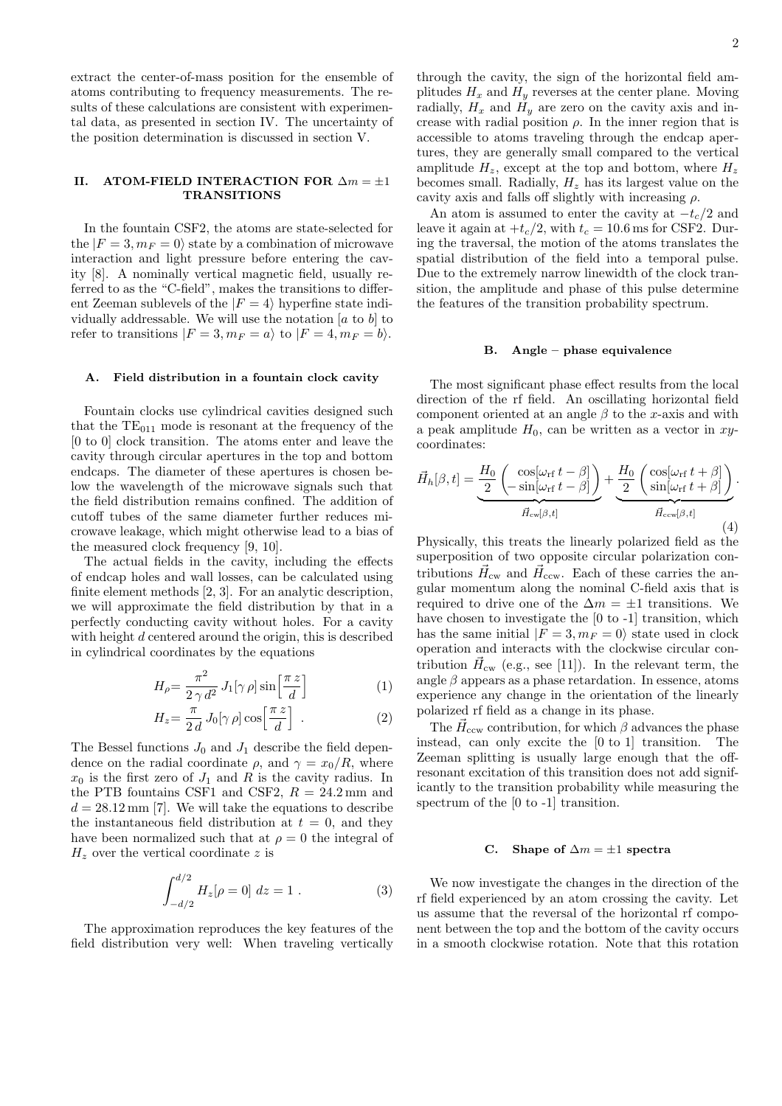extract the center-of-mass position for the ensemble of atoms contributing to frequency measurements. The results of these calculations are consistent with experimental data, as presented in section IV. The uncertainty of the position determination is discussed in section V.

## II. ATOM-FIELD INTERACTION FOR  $\Delta m = \pm 1$ **TRANSITIONS**

In the fountain CSF2, the atoms are state-selected for the  $|F = 3, m_F = 0\rangle$  state by a combination of microwave interaction and light pressure before entering the cavity [8]. A nominally vertical magnetic field, usually referred to as the "C-field", makes the transitions to different Zeeman sublevels of the  $|F = 4\rangle$  hyperfine state individually addressable. We will use the notation  $[a \text{ to } b]$  to refer to transitions  $|F = 3, m_F = a\rangle$  to  $|F = 4, m_F = b\rangle$ .

## A. Field distribution in a fountain clock cavity

Fountain clocks use cylindrical cavities designed such that the  $TE_{011}$  mode is resonant at the frequency of the [0 to 0] clock transition. The atoms enter and leave the cavity through circular apertures in the top and bottom endcaps. The diameter of these apertures is chosen below the wavelength of the microwave signals such that the field distribution remains confined. The addition of cutoff tubes of the same diameter further reduces microwave leakage, which might otherwise lead to a bias of the measured clock frequency [9, 10].

The actual fields in the cavity, including the effects of endcap holes and wall losses, can be calculated using finite element methods [2, 3]. For an analytic description, we will approximate the field distribution by that in a perfectly conducting cavity without holes. For a cavity with height d centered around the origin, this is described in cylindrical coordinates by the equations

$$
H_{\rho} = \frac{\pi^2}{2\gamma d^2} J_1[\gamma \rho] \sin\left[\frac{\pi z}{d}\right] \tag{1}
$$

$$
H_z = \frac{\pi}{2 d} J_0[\gamma \rho] \cos\left[\frac{\pi z}{d}\right] . \tag{2}
$$

The Bessel functions  $J_0$  and  $J_1$  describe the field dependence on the radial coordinate  $\rho$ , and  $\gamma = x_0/R$ , where  $x_0$  is the first zero of  $J_1$  and R is the cavity radius. In the PTB fountains CSF1 and CSF2,  $R = 24.2$  mm and  $d = 28.12 \,\mathrm{mm}$  [7]. We will take the equations to describe the instantaneous field distribution at  $t = 0$ , and they have been normalized such that at  $\rho = 0$  the integral of  $H<sub>z</sub>$  over the vertical coordinate z is

$$
\int_{-d/2}^{d/2} H_z[\rho = 0] dz = 1.
$$
 (3)

The approximation reproduces the key features of the field distribution very well: When traveling vertically

through the cavity, the sign of the horizontal field amplitudes  $H_x$  and  $H_y$  reverses at the center plane. Moving radially,  $H_x$  and  $H_y$  are zero on the cavity axis and increase with radial position  $\rho$ . In the inner region that is accessible to atoms traveling through the endcap apertures, they are generally small compared to the vertical amplitude  $H_z$ , except at the top and bottom, where  $H_z$ becomes small. Radially,  $H_z$  has its largest value on the cavity axis and falls off slightly with increasing  $\rho$ .

An atom is assumed to enter the cavity at  $-t_c/2$  and leave it again at  $+t_c/2$ , with  $t_c = 10.6$  ms for CSF2. During the traversal, the motion of the atoms translates the spatial distribution of the field into a temporal pulse. Due to the extremely narrow linewidth of the clock transition, the amplitude and phase of this pulse determine the features of the transition probability spectrum.

## B. Angle – phase equivalence

The most significant phase effect results from the local direction of the rf field. An oscillating horizontal field component oriented at an angle  $\beta$  to the x-axis and with a peak amplitude  $H_0$ , can be written as a vector in xycoordinates:

$$
\vec{H}_{h}[\beta, t] = \underbrace{\frac{H_{0}}{2} \left( -\sin[\omega_{\rm rf} t - \beta] \right)}_{\vec{H}_{\rm cw}[\beta, t]} + \underbrace{\frac{H_{0}}{2} \left( \frac{\cos[\omega_{\rm rf} t + \beta]}{\sin[\omega_{\rm rf} t + \beta]} \right)}_{\vec{H}_{\rm ccw}[\beta, t]}.
$$
\n(4)

Physically, this treats the linearly polarized field as the superposition of two opposite circular polarization contributions  $\vec{H}_{\text{cw}}$  and  $\vec{H}_{\text{ccw}}$ . Each of these carries the angular momentum along the nominal C-field axis that is required to drive one of the  $\Delta m = \pm 1$  transitions. We have chosen to investigate the [0 to -1] transition, which has the same initial  $|F = 3, m_F = 0\rangle$  state used in clock operation and interacts with the clockwise circular contribution  $\vec{H}_{cw}$  (e.g., see [11]). In the relevant term, the angle  $\beta$  appears as a phase retardation. In essence, atoms experience any change in the orientation of the linearly polarized rf field as a change in its phase.

The  $\vec{H}_{\rm ccw}$  contribution, for which  $\beta$  advances the phase instead, can only excite the [0 to 1] transition. The Zeeman splitting is usually large enough that the offresonant excitation of this transition does not add significantly to the transition probability while measuring the spectrum of the [0 to -1] transition.

#### C. Shape of  $\Delta m = \pm 1$  spectra

We now investigate the changes in the direction of the rf field experienced by an atom crossing the cavity. Let us assume that the reversal of the horizontal rf component between the top and the bottom of the cavity occurs in a smooth clockwise rotation. Note that this rotation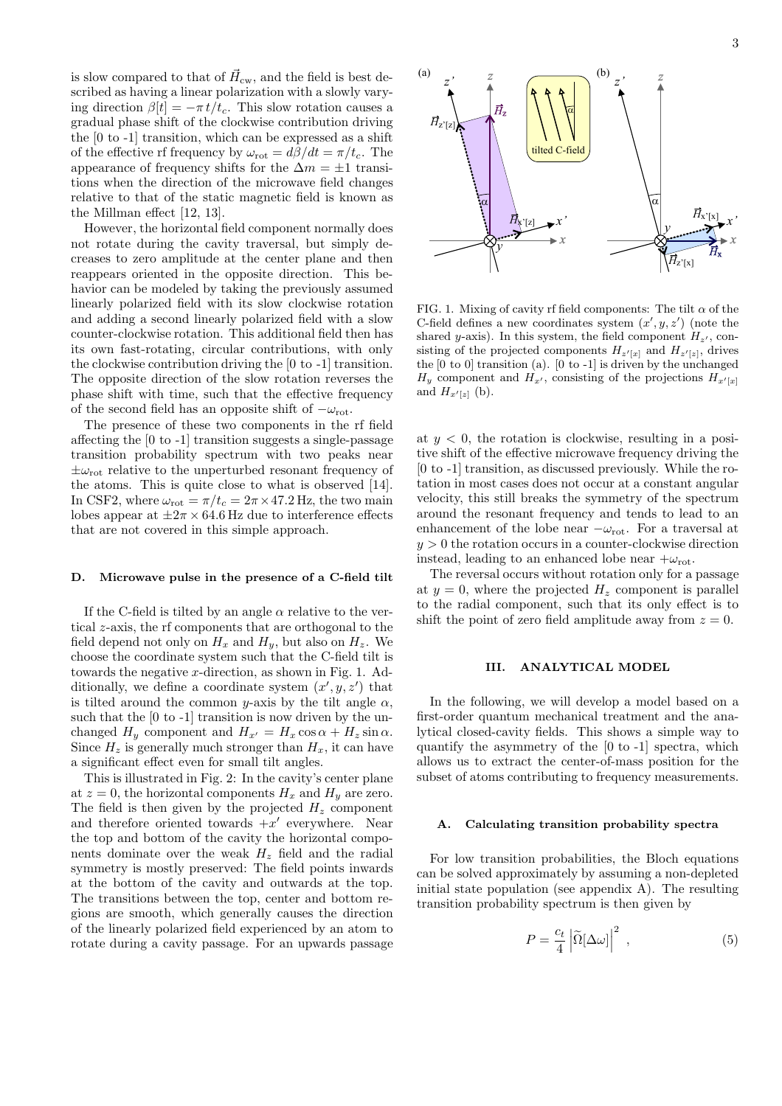is slow compared to that of  $\vec{H}_{\text{cw}}$ , and the field is best described as having a linear polarization with a slowly varying direction  $\beta[t] = -\pi t/t_c$ . This slow rotation causes a gradual phase shift of the clockwise contribution driving the [0 to -1] transition, which can be expressed as a shift of the effective rf frequency by  $\omega_{\text{rot}} = d\beta/dt = \pi/t_c$ . The appearance of frequency shifts for the  $\Delta m = \pm 1$  transitions when the direction of the microwave field changes relative to that of the static magnetic field is known as the Millman effect [12, 13].

However, the horizontal field component normally does not rotate during the cavity traversal, but simply decreases to zero amplitude at the center plane and then reappears oriented in the opposite direction. This behavior can be modeled by taking the previously assumed linearly polarized field with its slow clockwise rotation and adding a second linearly polarized field with a slow counter-clockwise rotation. This additional field then has its own fast-rotating, circular contributions, with only the clockwise contribution driving the [0 to -1] transition. The opposite direction of the slow rotation reverses the phase shift with time, such that the effective frequency of the second field has an opposite shift of  $-\omega_{\text{rot}}$ .

The presence of these two components in the rf field affecting the [0 to -1] transition suggests a single-passage transition probability spectrum with two peaks near  $\pm\omega_{\rm rot}$  relative to the unperturbed resonant frequency of the atoms. This is quite close to what is observed [14]. In CSF2, where  $\omega_{\text{rot}} = \pi/t_c = 2\pi \times 47.2 \text{ Hz}$ , the two main lobes appear at  $\pm 2\pi \times 64.6$  Hz due to interference effects that are not covered in this simple approach.

#### D. Microwave pulse in the presence of a C-field tilt

If the C-field is tilted by an angle  $\alpha$  relative to the vertical z-axis, the rf components that are orthogonal to the field depend not only on  $H_x$  and  $H_y$ , but also on  $H_z$ . We choose the coordinate system such that the C-field tilt is towards the negative  $x$ -direction, as shown in Fig. 1. Additionally, we define a coordinate system  $(x', y, z')$  that is tilted around the common y-axis by the tilt angle  $\alpha$ , such that the [0 to -1] transition is now driven by the unchanged  $H_y$  component and  $H_{x'} = H_x \cos \alpha + H_z \sin \alpha$ . Since  $H_z$  is generally much stronger than  $H_x$ , it can have a significant effect even for small tilt angles.

This is illustrated in Fig. 2: In the cavity's center plane at  $z = 0$ , the horizontal components  $H_x$  and  $H_y$  are zero. The field is then given by the projected  $H_z$  component and therefore oriented towards  $+x'$  everywhere. Near the top and bottom of the cavity the horizontal components dominate over the weak  $H_z$  field and the radial symmetry is mostly preserved: The field points inwards at the bottom of the cavity and outwards at the top. The transitions between the top, center and bottom regions are smooth, which generally causes the direction of the linearly polarized field experienced by an atom to rotate during a cavity passage. For an upwards passage



FIG. 1. Mixing of cavity rf field components: The tilt  $\alpha$  of the C-field defines a new coordinates system  $(x', y, z')$  (note the shared y-axis). In this system, the field component  $H_{z'}$ , consisting of the projected components  $H_{z'[x]}$  and  $H_{z'[z]}$ , drives the [0 to 0] transition (a). [0 to -1] is driven by the unchanged  $H_y$  component and  $H_{x'}$ , consisting of the projections  $H_{x'[x]}$ and  $H_{x'[z]}$  (b).

at  $y < 0$ , the rotation is clockwise, resulting in a positive shift of the effective microwave frequency driving the [0 to -1] transition, as discussed previously. While the rotation in most cases does not occur at a constant angular velocity, this still breaks the symmetry of the spectrum around the resonant frequency and tends to lead to an enhancement of the lobe near  $-\omega_{\text{rot}}$ . For a traversal at  $y > 0$  the rotation occurs in a counter-clockwise direction instead, leading to an enhanced lobe near  $+\omega_{\rm rot}$ .

The reversal occurs without rotation only for a passage at  $y = 0$ , where the projected  $H<sub>z</sub>$  component is parallel to the radial component, such that its only effect is to shift the point of zero field amplitude away from  $z = 0$ .

#### III. ANALYTICAL MODEL

In the following, we will develop a model based on a first-order quantum mechanical treatment and the analytical closed-cavity fields. This shows a simple way to quantify the asymmetry of the [0 to -1] spectra, which allows us to extract the center-of-mass position for the subset of atoms contributing to frequency measurements.

#### A. Calculating transition probability spectra

For low transition probabilities, the Bloch equations can be solved approximately by assuming a non-depleted initial state population (see appendix A). The resulting transition probability spectrum is then given by

$$
P = \frac{c_t}{4} \left| \tilde{\Omega} [\Delta \omega] \right|^2 , \qquad (5)
$$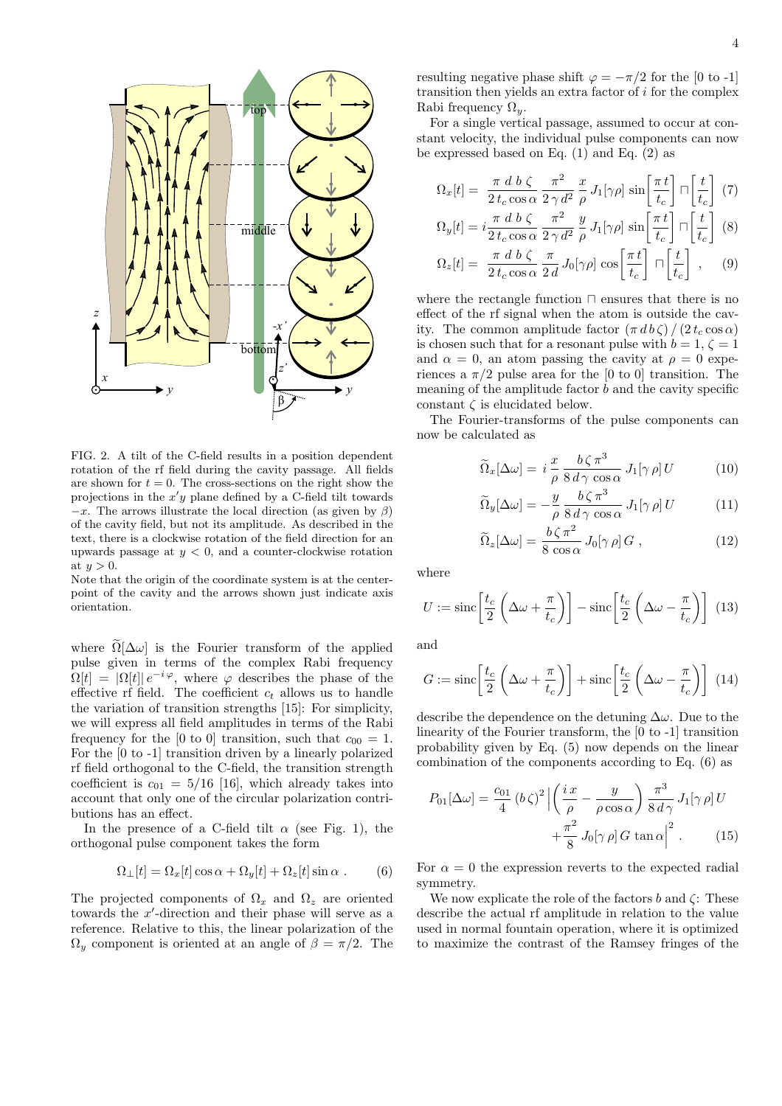

FIG. 2. A tilt of the C-field results in a position dependent rotation of the rf field during the cavity passage. All fields are shown for  $t = 0$ . The cross-sections on the right show the projections in the  $x'y$  plane defined by a C-field tilt towards  $-x$ . The arrows illustrate the local direction (as given by  $\beta$ ) of the cavity field, but not its amplitude. As described in the text, there is a clockwise rotation of the field direction for an upwards passage at  $y < 0$ , and a counter-clockwise rotation at  $u > 0$ .

Note that the origin of the coordinate system is at the centerpoint of the cavity and the arrows shown just indicate axis orientation.

where  $\Omega[\Delta\omega]$  is the Fourier transform of the applied pulse given in terms of the complex Rabi frequency  $\Omega[t] = |\Omega[t]| e^{-i\varphi}$ , where  $\varphi$  describes the phase of the effective rf field. The coefficient  $c_t$  allows us to handle the variation of transition strengths [15]: For simplicity, we will express all field amplitudes in terms of the Rabi frequency for the [0 to 0] transition, such that  $c_{00} = 1$ . For the [0 to -1] transition driven by a linearly polarized rf field orthogonal to the C-field, the transition strength coefficient is  $c_{01} = 5/16$  [16], which already takes into account that only one of the circular polarization contributions has an effect.

In the presence of a C-field tilt  $\alpha$  (see Fig. 1), the orthogonal pulse component takes the form

$$
\Omega_{\perp}[t] = \Omega_x[t] \cos \alpha + \Omega_y[t] + \Omega_z[t] \sin \alpha . \tag{6}
$$

The projected components of  $\Omega_x$  and  $\Omega_z$  are oriented towards the x ′ -direction and their phase will serve as a reference. Relative to this, the linear polarization of the  $\Omega_u$  component is oriented at an angle of  $\beta = \pi/2$ . The resulting negative phase shift  $\varphi = -\pi/2$  for the [0 to -1] transition then yields an extra factor of  $i$  for the complex Rabi frequency  $\Omega_y$ .

For a single vertical passage, assumed to occur at constant velocity, the individual pulse components can now be expressed based on Eq.  $(1)$  and Eq.  $(2)$  as

$$
\Omega_x[t] = \frac{\pi \ d \ b \ \zeta}{2 \ t_c \cos \alpha} \frac{\pi^2}{2 \ \gamma d^2} \frac{x}{\rho} J_1[\gamma \rho] \ \sin\left[\frac{\pi \ t}{t_c}\right] \ \sqcap \left[\frac{t}{t_c}\right] \ (7)
$$

$$
\Omega_y[t] = i \frac{\pi \ d \ b \ \zeta}{2 \ t_c \ \cos \alpha} \ \frac{\pi^2}{2 \ \gamma \ d^2} \ \frac{y}{\rho} \ J_1[\gamma \rho] \ \sin \left[ \frac{\pi \ t}{t_c} \right] \ \Box \left[ \frac{t}{t_c} \right] \ (8)
$$

$$
\Omega_z[t] = \frac{\pi \, d \, b \, \zeta}{2 \, t_c \cos \alpha} \frac{\pi}{2 \, d} J_0[\gamma \rho] \cos \left[ \frac{\pi \, t}{t_c} \right] \, \cap \left[ \frac{t}{t_c} \right] \;, \tag{9}
$$

where the rectangle function ⊓ ensures that there is no effect of the rf signal when the atom is outside the cavity. The common amplitude factor  $(\pi d b \zeta) / (2 t_c \cos \alpha)$ is chosen such that for a resonant pulse with  $b = 1, \zeta = 1$ and  $\alpha = 0$ , an atom passing the cavity at  $\rho = 0$  experiences a  $\pi/2$  pulse area for the [0 to 0] transition. The meaning of the amplitude factor  $b$  and the cavity specific constant  $\zeta$  is elucidated below.

The Fourier-transforms of the pulse components can now be calculated as

$$
\widetilde{\Omega}_{x}[\Delta\omega] = i \frac{x}{\rho} \frac{b\,\zeta\,\pi^3}{8\,d\,\gamma\,\cos\alpha} J_1[\gamma\,\rho] U \tag{10}
$$

$$
\widetilde{\Omega}_{y}[\Delta\omega] = -\frac{y}{\rho} \frac{b\,\zeta\,\pi^3}{8\,d\,\gamma\,\cos\alpha} J_1[\gamma\,\rho]\,U \tag{11}
$$

$$
\widetilde{\Omega}_z[\Delta \omega] = \frac{b \zeta \pi^2}{8 \cos \alpha} J_0[\gamma \rho] G , \qquad (12)
$$

where

$$
U := \operatorname{sinc}\left[\frac{t_c}{2}\left(\Delta\omega + \frac{\pi}{t_c}\right)\right] - \operatorname{sinc}\left[\frac{t_c}{2}\left(\Delta\omega - \frac{\pi}{t_c}\right)\right] \tag{13}
$$

and

$$
G := \operatorname{sinc}\left[\frac{t_c}{2}\left(\Delta\omega + \frac{\pi}{t_c}\right)\right] + \operatorname{sinc}\left[\frac{t_c}{2}\left(\Delta\omega - \frac{\pi}{t_c}\right)\right]
$$
(14)

describe the dependence on the detuning  $\Delta\omega$ . Due to the linearity of the Fourier transform, the [0 to -1] transition probability given by Eq. (5) now depends on the linear combination of the components according to Eq. (6) as

$$
P_{01}[\Delta \omega] = \frac{c_{01}}{4} (b\zeta)^2 \left| \left( \frac{i x}{\rho} - \frac{y}{\rho \cos \alpha} \right) \frac{\pi^3}{8 d\gamma} J_1[\gamma \rho] U + \frac{\pi^2}{8} J_0[\gamma \rho] G \tan \alpha \right|^2.
$$
 (15)

For  $\alpha = 0$  the expression reverts to the expected radial symmetry.

We now explicate the role of the factors  $b$  and  $\zeta$ : These describe the actual rf amplitude in relation to the value used in normal fountain operation, where it is optimized to maximize the contrast of the Ramsey fringes of the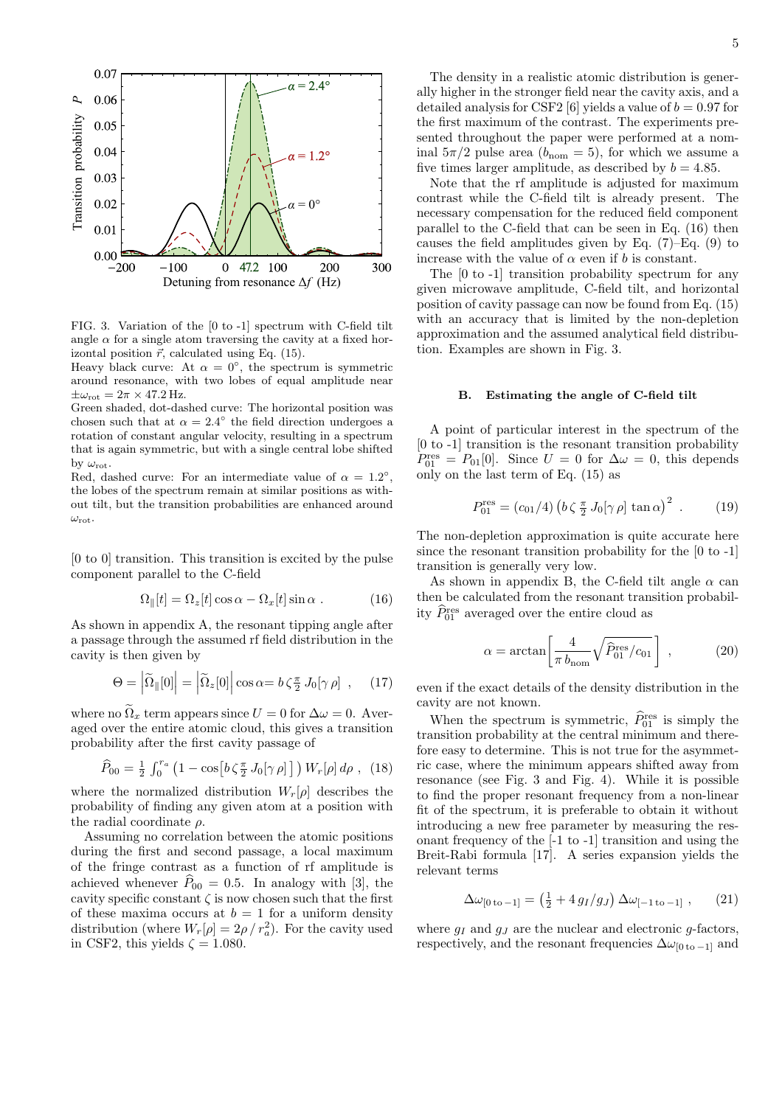

FIG. 3. Variation of the [0 to -1] spectrum with C-field tilt angle  $\alpha$  for a single atom traversing the cavity at a fixed horizontal position  $\vec{r}$ , calculated using Eq. (15).

Heavy black curve: At  $\alpha = 0^{\circ}$ , the spectrum is symmetric around resonance, with two lobes of equal amplitude near  $\pm \omega_{\rm rot} = 2\pi \times 47.2$  Hz.

Green shaded, dot-dashed curve: The horizontal position was chosen such that at  $\alpha = 2.4^{\circ}$  the field direction undergoes a rotation of constant angular velocity, resulting in a spectrum that is again symmetric, but with a single central lobe shifted by  $\omega_{\rm rot}$ .

Red, dashed curve: For an intermediate value of  $\alpha = 1.2^{\circ}$ , the lobes of the spectrum remain at similar positions as without tilt, but the transition probabilities are enhanced around  $\omega_{\rm rot}$ 

[0 to 0] transition. This transition is excited by the pulse component parallel to the C-field

$$
\Omega_{\parallel}[t] = \Omega_z[t] \cos \alpha - \Omega_x[t] \sin \alpha . \qquad (16)
$$

As shown in appendix A, the resonant tipping angle after a passage through the assumed rf field distribution in the cavity is then given by

$$
\Theta = \left| \widetilde{\Omega}_{\parallel}[0] \right| = \left| \widetilde{\Omega}_{z}[0] \right| \cos \alpha = b \zeta \frac{\pi}{2} J_0[\gamma \rho] , \quad (17)
$$

where no  $\widetilde{\Omega}_x$  term appears since  $U = 0$  for  $\Delta \omega = 0$ . Averaged over the entire atomic cloud, this gives a transition probability after the first cavity passage of

$$
\widehat{P}_{00} = \frac{1}{2} \int_0^{r_a} \left( 1 - \cos \left[ b \zeta \frac{\pi}{2} J_0[\gamma \rho] \right] \right) W_r[\rho] d\rho , \tag{18}
$$

where the normalized distribution  $W_r[\rho]$  describes the probability of finding any given atom at a position with the radial coordinate  $\rho$ .

Assuming no correlation between the atomic positions during the first and second passage, a local maximum of the fringe contrast as a function of rf amplitude is achieved whenever  $\widehat{P}_{00} = 0.5$ . In analogy with [3], the cavity specific constant  $\zeta$  is now chosen such that the first of these maxima occurs at  $b = 1$  for a uniform density distribution (where  $W_r[\rho] = 2\rho / r_a^2$ ). For the cavity used in CSF2, this yields  $\zeta = 1.080$ .

The density in a realistic atomic distribution is generally higher in the stronger field near the cavity axis, and a detailed analysis for CSF2 [6] yields a value of  $b = 0.97$  for the first maximum of the contrast. The experiments presented throughout the paper were performed at a nominal  $5\pi/2$  pulse area  $(b_{\text{nom}} = 5)$ , for which we assume a five times larger amplitude, as described by  $b = 4.85$ .

Note that the rf amplitude is adjusted for maximum contrast while the C-field tilt is already present. The necessary compensation for the reduced field component parallel to the C-field that can be seen in Eq. (16) then causes the field amplitudes given by Eq.  $(7)$ –Eq.  $(9)$  to increase with the value of  $\alpha$  even if b is constant.

The [0 to -1] transition probability spectrum for any given microwave amplitude, C-field tilt, and horizontal position of cavity passage can now be found from Eq. (15) with an accuracy that is limited by the non-depletion approximation and the assumed analytical field distribution. Examples are shown in Fig. 3.

# B. Estimating the angle of C-field tilt

A point of particular interest in the spectrum of the [0 to -1] transition is the resonant transition probability  $P_{01}^{\text{res}} = P_{01}[0]$ . Since  $U = 0$  for  $\Delta \omega = 0$ , this depends only on the last term of Eq. (15) as

$$
P_{01}^{\text{res}} = (c_{01}/4) \left( b \zeta \frac{\pi}{2} J_0[\gamma \rho] \tan \alpha \right)^2 \ . \tag{19}
$$

The non-depletion approximation is quite accurate here since the resonant transition probability for the [0 to -1] transition is generally very low.

As shown in appendix B, the C-field tilt angle  $\alpha$  can then be calculated from the resonant transition probability  $\hat{P}_{01}^{\text{res}}$  averaged over the entire cloud as

$$
\alpha = \arctan\left[\frac{4}{\pi b_{\text{nom}}} \sqrt{\hat{P}_{01}^{\text{res}}/c_{01}}\right] \,,\tag{20}
$$

even if the exact details of the density distribution in the cavity are not known.

When the spectrum is symmetric,  $\hat{P}_{01}^{\text{res}}$  is simply the transition probability at the central minimum and therefore easy to determine. This is not true for the asymmetric case, where the minimum appears shifted away from resonance (see Fig. 3 and Fig. 4). While it is possible to find the proper resonant frequency from a non-linear fit of the spectrum, it is preferable to obtain it without introducing a new free parameter by measuring the resonant frequency of the [-1 to -1] transition and using the Breit-Rabi formula [17]. A series expansion yields the relevant terms

$$
\Delta \omega_{[0\,\text{to}\,-1]} = \left(\frac{1}{2} + 4\,g_I/g_J\right) \Delta \omega_{[-1\,\text{to}\,-1]} \;, \tag{21}
$$

where  $q_I$  and  $q_J$  are the nuclear and electronic q-factors, respectively, and the resonant frequencies  $\Delta \omega_{[0,\text{to}-1]}$  and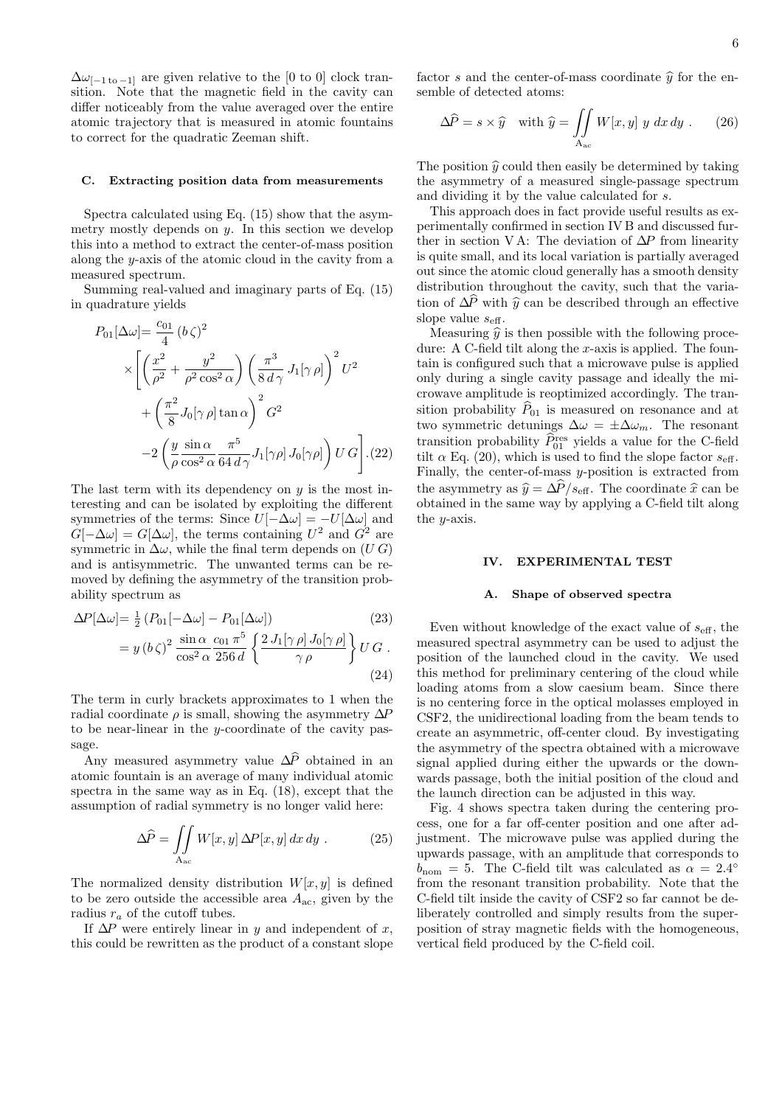$\Delta\omega_{[-1 \text{ to } -1]}$  are given relative to the [0 to 0] clock transition. Note that the magnetic field in the cavity can differ noticeably from the value averaged over the entire atomic trajectory that is measured in atomic fountains to correct for the quadratic Zeeman shift.

## C. Extracting position data from measurements

Spectra calculated using Eq. (15) show that the asymmetry mostly depends on  $y$ . In this section we develop this into a method to extract the center-of-mass position along the y-axis of the atomic cloud in the cavity from a measured spectrum.

Summing real-valued and imaginary parts of Eq. (15) in quadrature yields

$$
P_{01}[\Delta\omega] = \frac{c_{01}}{4} (b\zeta)^2
$$
  
\$\times \left[ \left( \frac{x^2}{\rho^2} + \frac{y^2}{\rho^2 \cos^2\alpha} \right) \left( \frac{\pi^3}{8 d\gamma} J\_1[\gamma \rho] \right)^2 U^2 \right. \$  
\$+ \left( \frac{\pi^2}{8} J\_0[\gamma \rho] \tan \alpha \right)^2 G^2\$  
-2 \left( \frac{y}{\rho} \frac{\sin \alpha}{\cos^2 \alpha} \frac{\pi^5}{64 d\gamma} J\_1[\gamma \rho] J\_0[\gamma \rho] \right) U G \right]. (22)\$

The last term with its dependency on  $y$  is the most interesting and can be isolated by exploiting the different symmetries of the terms: Since  $U[-\Delta\omega] = -U[\Delta\omega]$  and  $G[-\Delta\omega] = G[\Delta\omega]$ , the terms containing  $U^2$  and  $G^2$  are symmetric in  $\Delta\omega$ , while the final term depends on  $(U\ G)$ and is antisymmetric. The unwanted terms can be removed by defining the asymmetry of the transition probability spectrum as

$$
\Delta P[\Delta \omega] = \frac{1}{2} (P_{01}[-\Delta \omega] - P_{01}[\Delta \omega])
$$
\n
$$
= y (b \zeta)^2 \frac{\sin \alpha}{\cos^2 \alpha} \frac{c_{01} \pi^5}{256 d} \left\{ \frac{2 J_1[\gamma \rho] J_0[\gamma \rho]}{\gamma \rho} \right\} U G .
$$
\n(24)

The term in curly brackets approximates to 1 when the radial coordinate  $\rho$  is small, showing the asymmetry  $\Delta P$ to be near-linear in the  $y$ -coordinate of the cavity passage.

Any measured asymmetry value  $\Delta \hat{P}$  obtained in an atomic fountain is an average of many individual atomic spectra in the same way as in Eq. (18), except that the assumption of radial symmetry is no longer valid here:

$$
\Delta \widehat{P} = \iint_{A_{ac}} W[x, y] \,\Delta P[x, y] \,dx \,dy \,. \tag{25}
$$

The normalized density distribution  $W[x, y]$  is defined to be zero outside the accessible area  $A_{ac}$ , given by the radius  $r_a$  of the cutoff tubes.

If  $\Delta P$  were entirely linear in y and independent of x, this could be rewritten as the product of a constant slope factor s and the center-of-mass coordinate  $\hat{y}$  for the ensemble of detected atoms:

$$
\Delta \widehat{P} = s \times \widehat{y} \quad \text{with } \widehat{y} = \iint_{A_{ac}} W[x, y] \, y \, dx \, dy \,. \tag{26}
$$

The position  $\hat{y}$  could then easily be determined by taking the asymmetry of a measured single-passage spectrum and dividing it by the value calculated for s.

This approach does in fact provide useful results as experimentally confirmed in section IV B and discussed further in section VA: The deviation of  $\Delta P$  from linearity is quite small, and its local variation is partially averaged out since the atomic cloud generally has a smooth density distribution throughout the cavity, such that the variation of  $\Delta \hat{P}$  with  $\hat{y}$  can be described through an effective slope value  $s_{\text{eff}}$ .

Measuring  $\hat{y}$  is then possible with the following procedure: A C-field tilt along the x-axis is applied. The fountain is configured such that a microwave pulse is applied only during a single cavity passage and ideally the microwave amplitude is reoptimized accordingly. The transition probability  $\hat{P}_{01}$  is measured on resonance and at two symmetric detunings  $\Delta \omega = \pm \Delta \omega_m$ . The resonant transition probability  $\widehat{P}_{01}^{\text{res}}$  yields a value for the C-field tilt  $\alpha$  Eq. (20), which is used to find the slope factor  $s_{\text{eff}}$ . Finally, the center-of-mass  $y$ -position is extracted from the asymmetry as  $\hat{y} = \Delta \hat{P} / s_{\text{eff}}$ . The coordinate  $\hat{x}$  can be obtained in the same way by applying a C-field tilt along the  $y$ -axis.

# IV. EXPERIMENTAL TEST

#### A. Shape of observed spectra

Even without knowledge of the exact value of  $s_{\text{eff}}$ , the measured spectral asymmetry can be used to adjust the position of the launched cloud in the cavity. We used this method for preliminary centering of the cloud while loading atoms from a slow caesium beam. Since there is no centering force in the optical molasses employed in CSF2, the unidirectional loading from the beam tends to create an asymmetric, off-center cloud. By investigating the asymmetry of the spectra obtained with a microwave signal applied during either the upwards or the downwards passage, both the initial position of the cloud and the launch direction can be adjusted in this way.

Fig. 4 shows spectra taken during the centering process, one for a far off-center position and one after adjustment. The microwave pulse was applied during the upwards passage, with an amplitude that corresponds to  $b<sub>nom</sub> = 5$ . The C-field tilt was calculated as  $\alpha = 2.4^{\circ}$ from the resonant transition probability. Note that the C-field tilt inside the cavity of CSF2 so far cannot be deliberately controlled and simply results from the superposition of stray magnetic fields with the homogeneous, vertical field produced by the C-field coil.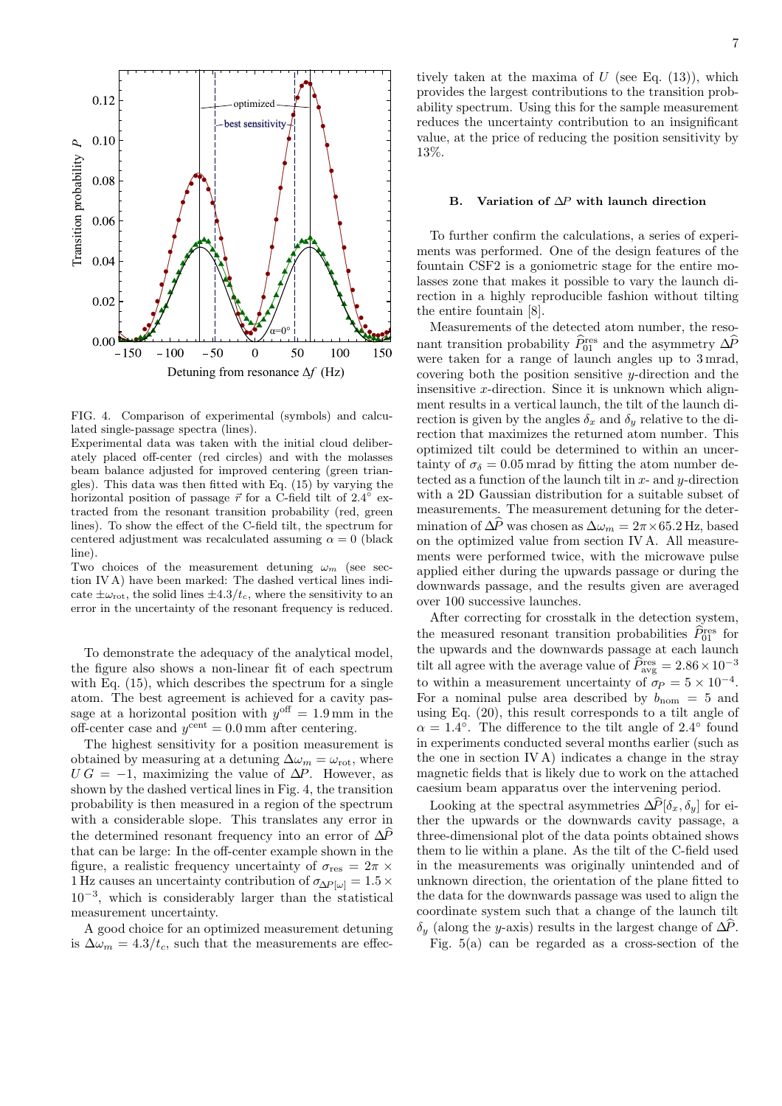

FIG. 4. Comparison of experimental (symbols) and calculated single-passage spectra (lines).

Experimental data was taken with the initial cloud deliberately placed off-center (red circles) and with the molasses beam balance adjusted for improved centering (green triangles). This data was then fitted with Eq. (15) by varying the horizontal position of passage  $\vec{r}$  for a C-field tilt of 2.4<sup> $\degree$ </sup> extracted from the resonant transition probability (red, green lines). To show the effect of the C-field tilt, the spectrum for centered adjustment was recalculated assuming  $\alpha = 0$  (black line).

Two choices of the measurement detuning  $\omega_m$  (see section IV A) have been marked: The dashed vertical lines indicate  $\pm \omega_{\rm rot}$ , the solid lines  $\pm 4.3/t_c$ , where the sensitivity to an error in the uncertainty of the resonant frequency is reduced.

To demonstrate the adequacy of the analytical model, the figure also shows a non-linear fit of each spectrum with Eq.  $(15)$ , which describes the spectrum for a single atom. The best agreement is achieved for a cavity passage at a horizontal position with  $y<sup>off</sup> = 1.9$  mm in the off-center case and  $y^{\text{cent}} = 0.0 \text{ mm}$  after centering.

The highest sensitivity for a position measurement is obtained by measuring at a detuning  $\Delta \omega_m = \omega_{\rm rot}$ , where  $UG = -1$ , maximizing the value of  $\Delta P$ . However, as shown by the dashed vertical lines in Fig. 4, the transition probability is then measured in a region of the spectrum with a considerable slope. This translates any error in the determined resonant frequency into an error of  $\Delta P$ that can be large: In the off-center example shown in the figure, a realistic frequency uncertainty of  $\sigma_{\text{res}} = 2\pi \times$ 1 Hz causes an uncertainty contribution of  $\sigma_{\Delta P[\omega]} = 1.5 \times$ 10<sup>−</sup><sup>3</sup> , which is considerably larger than the statistical measurement uncertainty.

A good choice for an optimized measurement detuning is  $\Delta\omega_m = 4.3/t_c$ , such that the measurements are effectively taken at the maxima of  $U$  (see Eq.  $(13)$ ), which provides the largest contributions to the transition probability spectrum. Using this for the sample measurement reduces the uncertainty contribution to an insignificant value, at the price of reducing the position sensitivity by 13%.

#### B. Variation of ∆P with launch direction

To further confirm the calculations, a series of experiments was performed. One of the design features of the fountain CSF2 is a goniometric stage for the entire molasses zone that makes it possible to vary the launch direction in a highly reproducible fashion without tilting the entire fountain [8].

Measurements of the detected atom number, the resonant transition probability  $\widehat{P}_{01}^{\text{res}}$  and the asymmetry  $\Delta \widehat{P}$ were taken for a range of launch angles up to 3 mrad, covering both the position sensitive  $y$ -direction and the insensitive x-direction. Since it is unknown which alignment results in a vertical launch, the tilt of the launch direction is given by the angles  $\delta_x$  and  $\delta_y$  relative to the direction that maximizes the returned atom number. This optimized tilt could be determined to within an uncertainty of  $\sigma_{\delta} = 0.05$  mrad by fitting the atom number detected as a function of the launch tilt in  $x$ - and  $y$ -direction with a 2D Gaussian distribution for a suitable subset of measurements. The measurement detuning for the determination of  $\Delta P$  was chosen as  $\Delta\omega_m = 2\pi \times 65.2$  Hz, based on the optimized value from section IV A. All measurements were performed twice, with the microwave pulse applied either during the upwards passage or during the downwards passage, and the results given are averaged over 100 successive launches.

After correcting for crosstalk in the detection system, the measured resonant transition probabilities  $\hat{P}_{01}^{\text{res}}$  for the upwards and the downwards passage at each launch tilt all agree with the average value of  $\hat{P}_{\text{avg}}^{\text{res}} = 2.86 \times 10^{-3}$ to within a measurement uncertainty of  $\sigma_P = 5 \times 10^{-4}$ . For a nominal pulse area described by  $b_{\text{nom}} = 5$  and using Eq. (20), this result corresponds to a tilt angle of  $\alpha = 1.4^{\circ}$ . The difference to the tilt angle of 2.4° found in experiments conducted several months earlier (such as the one in section IV A) indicates a change in the stray magnetic fields that is likely due to work on the attached caesium beam apparatus over the intervening period.

Looking at the spectral asymmetries  $\Delta \widehat{P}[\delta_x, \delta_y]$  for either the upwards or the downwards cavity passage, a three-dimensional plot of the data points obtained shows them to lie within a plane. As the tilt of the C-field used in the measurements was originally unintended and of unknown direction, the orientation of the plane fitted to the data for the downwards passage was used to align the coordinate system such that a change of the launch tilt  $\delta_y$  (along the y-axis) results in the largest change of  $\Delta P$ .

Fig. 5(a) can be regarded as a cross-section of the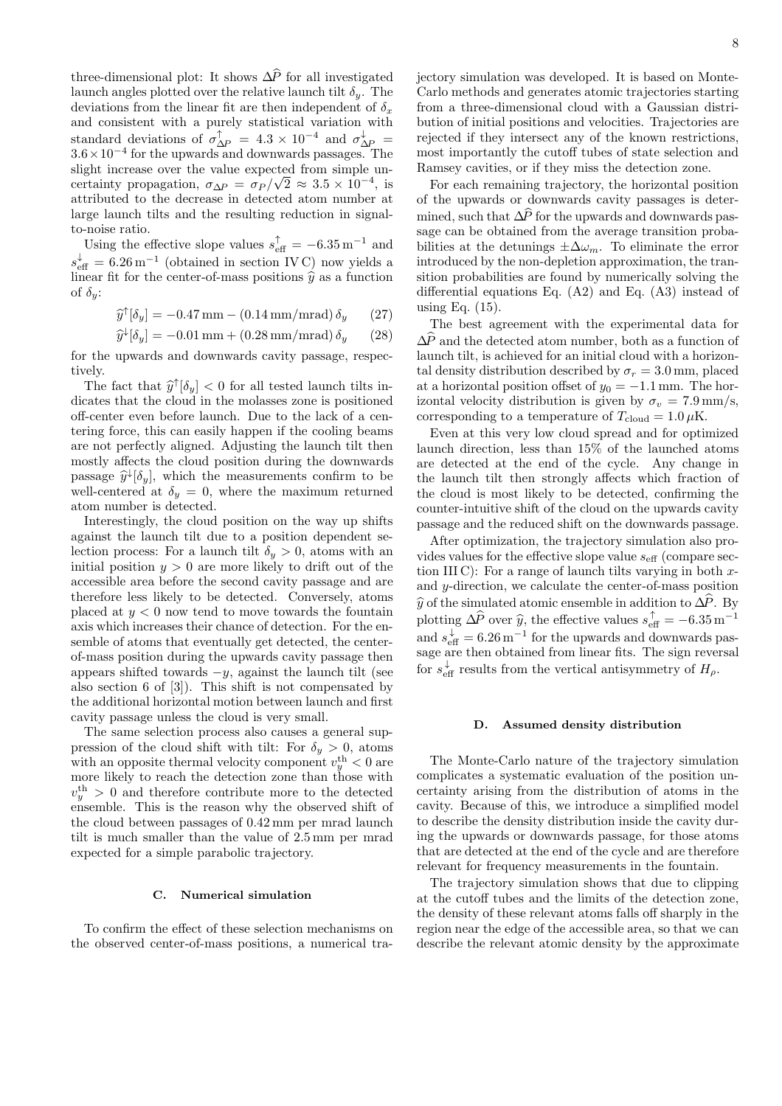three-dimensional plot: It shows  $\Delta \hat{P}$  for all investigated launch angles plotted over the relative launch tilt  $\delta_{\nu}$ . The deviations from the linear fit are then independent of  $\delta_x$ and consistent with a purely statistical variation with standard deviations of  $\sigma_{\Delta P}^{\uparrow} = 4.3 \times 10^{-4}$  and  $\sigma_{\Delta P}^{\downarrow} =$ <sup>3</sup>.6×10<sup>−</sup><sup>4</sup> for the upwards and downwards passages. The slight increase over the value expected from simple uncertainty propagation,  $\sigma_{\Delta P} = \sigma_P / \sqrt{2} \approx 3.5 \times 10^{-4}$ , is attributed to the decrease in detected atom number at large launch tilts and the resulting reduction in signalto-noise ratio.

Using the effective slope values  $s_{\text{eff}}^{\uparrow} = -6.35 \,\text{m}^{-1}$  and  $s_{\text{eff}}^{\downarrow} = 6.26 \,\text{m}^{-1}$  (obtained in section IVC) now yields a linear fit for the center-of-mass positions  $\hat{y}$  as a function of  $\delta_{\boldsymbol{y}}$ :

$$
\widehat{y}^{\uparrow}[\delta_y] = -0.47 \,\text{mm} - (0.14 \,\text{mm/mrad}) \,\delta_y \qquad (27)
$$

$$
\hat{y}^{\downarrow}[\delta_y] = -0.01 \,\text{mm} + (0.28 \,\text{mm/mrad}) \,\delta_y \qquad (28)
$$

for the upwards and downwards cavity passage, respectively.

The fact that  $\hat{y}^{\dagger}[\delta_y] < 0$  for all tested launch tilts in-<br>categories that the cloud in the malazzer gape is positioned dicates that the cloud in the molasses zone is positioned off-center even before launch. Due to the lack of a centering force, this can easily happen if the cooling beams are not perfectly aligned. Adjusting the launch tilt then mostly affects the cloud position during the downwards passage  $\hat{y}^{\downarrow}[\delta_y]$ , which the measurements confirm to be<br>well centered at  $\delta_z = 0$ , where the maximum returned well-centered at  $\delta_y = 0$ , where the maximum returned atom number is detected.

Interestingly, the cloud position on the way up shifts against the launch tilt due to a position dependent selection process: For a launch tilt  $\delta_y > 0$ , atoms with an initial position  $y > 0$  are more likely to drift out of the accessible area before the second cavity passage and are therefore less likely to be detected. Conversely, atoms placed at  $y < 0$  now tend to move towards the fountain axis which increases their chance of detection. For the ensemble of atoms that eventually get detected, the centerof-mass position during the upwards cavity passage then appears shifted towards  $-y$ , against the launch tilt (see also section 6 of [3]). This shift is not compensated by the additional horizontal motion between launch and first cavity passage unless the cloud is very small.

The same selection process also causes a general suppression of the cloud shift with tilt: For  $\delta_y > 0$ , atoms with an opposite thermal velocity component  $v_y^{\text{th}} < 0$  are more likely to reach the detection zone than those with  $v_y^{\text{th}} > 0$  and therefore contribute more to the detected ensemble. This is the reason why the observed shift of the cloud between passages of 0.42 mm per mrad launch tilt is much smaller than the value of 2.5 mm per mrad expected for a simple parabolic trajectory.

## C. Numerical simulation

To confirm the effect of these selection mechanisms on the observed center-of-mass positions, a numerical trajectory simulation was developed. It is based on Monte-Carlo methods and generates atomic trajectories starting from a three-dimensional cloud with a Gaussian distribution of initial positions and velocities. Trajectories are rejected if they intersect any of the known restrictions, most importantly the cutoff tubes of state selection and Ramsey cavities, or if they miss the detection zone.

For each remaining trajectory, the horizontal position of the upwards or downwards cavity passages is determined, such that  $\Delta \hat{P}$  for the upwards and downwards passage can be obtained from the average transition probabilities at the detunings  $\pm \Delta \omega_m$ . To eliminate the error introduced by the non-depletion approximation, the transition probabilities are found by numerically solving the differential equations Eq. (A2) and Eq. (A3) instead of using Eq. (15).

The best agreement with the experimental data for  $\Delta P$  and the detected atom number, both as a function of launch tilt, is achieved for an initial cloud with a horizontal density distribution described by  $\sigma_r = 3.0$  mm, placed at a horizontal position offset of  $y_0 = -1.1$  mm. The horizontal velocity distribution is given by  $\sigma_v = 7.9 \text{ mm/s}$ , corresponding to a temperature of  $T_{cloud} = 1.0 \,\mu\text{K}$ .

Even at this very low cloud spread and for optimized launch direction, less than 15% of the launched atoms are detected at the end of the cycle. Any change in the launch tilt then strongly affects which fraction of the cloud is most likely to be detected, confirming the counter-intuitive shift of the cloud on the upwards cavity passage and the reduced shift on the downwards passage.

After optimization, the trajectory simulation also provides values for the effective slope value  $s_{\text{eff}}$  (compare section III C): For a range of launch tilts varying in both  $x$ and y-direction, we calculate the center-of-mass position  $\hat{y}$  of the simulated atomic ensemble in addition to  $\Delta \hat{P}$ . By plotting  $\Delta \hat{P}$  over  $\hat{y}$ , the effective values  $s_{\text{eff}}^{\uparrow} = -6.35 \,\text{m}^{-1}$ and  $s_{\text{eff}}^{\downarrow} = 6.26 \,\text{m}^{-1}$  for the upwards and downwards passage are then obtained from linear fits. The sign reversal for  $s_{\text{eff}}^{\downarrow}$  results from the vertical antisymmetry of  $H_{\rho}$ .

#### D. Assumed density distribution

The Monte-Carlo nature of the trajectory simulation complicates a systematic evaluation of the position uncertainty arising from the distribution of atoms in the cavity. Because of this, we introduce a simplified model to describe the density distribution inside the cavity during the upwards or downwards passage, for those atoms that are detected at the end of the cycle and are therefore relevant for frequency measurements in the fountain.

The trajectory simulation shows that due to clipping at the cutoff tubes and the limits of the detection zone, the density of these relevant atoms falls off sharply in the region near the edge of the accessible area, so that we can describe the relevant atomic density by the approximate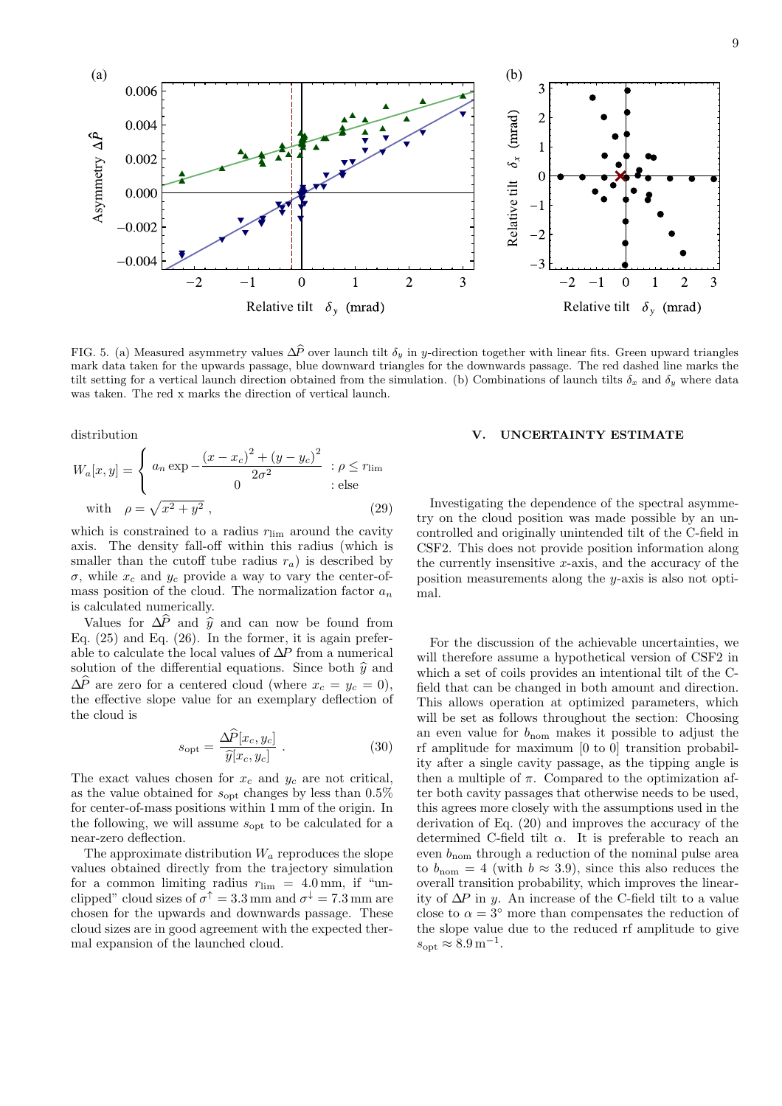

FIG. 5. (a) Measured asymmetry values  $\Delta \hat{P}$  over launch tilt  $\delta_y$  in y-direction together with linear fits. Green upward triangles mark data taken for the upwards passage, blue downward triangles for the downwards passage. The red dashed line marks the tilt setting for a vertical launch direction obtained from the simulation. (b) Combinations of launch tilts  $\delta_x$  and  $\delta_y$  where data was taken. The red x marks the direction of vertical launch.

distribution

$$
W_a[x, y] = \begin{cases} a_n \exp \left(-\frac{(x - x_c)^2 + (y - y_c)^2}{2\sigma^2}\right) : \rho \le r_{\text{lim}} \\ 0 & : \text{else} \end{cases}
$$
  
with  $\rho = \sqrt{x^2 + y^2}$ , (29)

which is constrained to a radius  $r_{\text{lim}}$  around the cavity axis. The density fall-off within this radius (which is smaller than the cutoff tube radius  $r_a$ ) is described by  $\sigma$ , while  $x_c$  and  $y_c$  provide a way to vary the center-ofmass position of the cloud. The normalization factor  $\boldsymbol{a}_n$ is calculated numerically.

Values for  $\Delta P$  and  $\hat{y}$  and can now be found from Eq.  $(25)$  and Eq.  $(26)$ . In the former, it is again preferable to calculate the local values of  $\Delta\!P$  from a numerical solution of the differential equations. Since both  $\hat{y}$  and  $\Delta \widehat{P}$  are zero for a centered cloud (where  $x_c = y_c = 0$ ), the effective slope value for an exemplary deflection of the cloud is

$$
s_{\rm opt} = \frac{\Delta \widehat{P}[x_c, y_c]}{\widehat{y}[x_c, y_c]} \ . \tag{30}
$$

The exact values chosen for  $x_c$  and  $y_c$  are not critical, as the value obtained for  $s_{\text{opt}}$  changes by less than 0.5% for center-of-mass positions within 1 mm of the origin. In the following, we will assume  $s_{\text{opt}}$  to be calculated for a near-zero deflection.

The approximate distribution  $W_a$  reproduces the slope values obtained directly from the trajectory simulation for a common limiting radius  $r_{\text{lim}} = 4.0 \text{ mm}$ , if "unclipped" cloud sizes of  $\sigma^{\uparrow} = 3.3 \,\text{mm}$  and  $\sigma^{\downarrow} = 7.3 \,\text{mm}$  are chosen for the upwards and downwards passage. These cloud sizes are in good agreement with the expected thermal expansion of the launched cloud.

#### V. UNCERTAINTY ESTIMATE

Investigating the dependence of the spectral asymmetry on the cloud position was made possible by an uncontrolled and originally unintended tilt of the C-field in CSF2. This does not provide position information along the currently insensitive  $x$ -axis, and the accuracy of the position measurements along the y-axis is also not optimal.

For the discussion of the achievable uncertainties, we will therefore assume a hypothetical version of CSF2 in which a set of coils provides an intentional tilt of the Cfield that can be changed in both amount and direction. This allows operation at optimized parameters, which will be set as follows throughout the section: Choosing an even value for  $b_{\text{nom}}$  makes it possible to adjust the rf amplitude for maximum [0 to 0] transition probability after a single cavity passage, as the tipping angle is then a multiple of  $\pi$ . Compared to the optimization after both cavity passages that otherwise needs to be used, this agrees more closely with the assumptions used in the derivation of Eq. (20) and improves the accuracy of the determined C-field tilt  $\alpha$ . It is preferable to reach an even  $b_{\text{nom}}$  through a reduction of the nominal pulse area to  $b_{\text{nom}} = 4$  (with  $b \approx 3.9$ ), since this also reduces the overall transition probability, which improves the linearity of  $\Delta P$  in y. An increase of the C-field tilt to a value close to  $\alpha = 3^{\circ}$  more than compensates the reduction of the slope value due to the reduced rf amplitude to give  $s_{\rm opt} \approx 8.9 \,\mathrm{m}^{-1}.$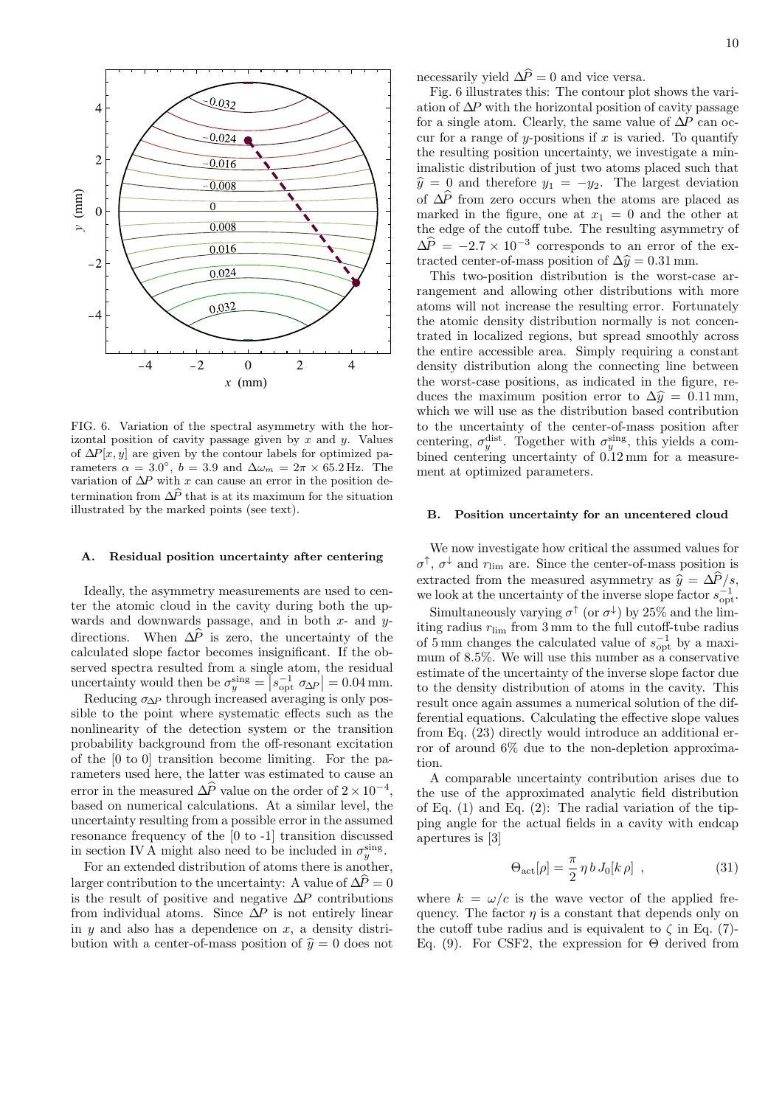

FIG. 6. Variation of the spectral asymmetry with the horizontal position of cavity passage given by x and y. Values of  $\Delta P[x, y]$  are given by the contour labels for optimized parameters  $\alpha = 3.0^{\circ}$ ,  $b = 3.9$  and  $\Delta \omega_m = 2\pi \times 65.2$  Hz. The variation of  $\Delta P$  with x can cause an error in the position determination from  $\Delta \hat{P}$  that is at its maximum for the situation illustrated by the marked points (see text).

# A. Residual position uncertainty after centering

Ideally, the asymmetry measurements are used to center the atomic cloud in the cavity during both the upwards and downwards passage, and in both  $x$ - and  $y$ directions. When  $\Delta \hat{P}$  is zero, the uncertainty of the calculated slope factor becomes insignificant. If the observed spectra resulted from a single atom, the residual uncertainty would then be  $\sigma_y^{\text{sing}} = |s_{\text{opt}}^{-1} \sigma_{\Delta P}| = 0.04 \text{ mm}.$ 

Reducing  $\sigma_{\Delta P}$  through increased averaging is only possible to the point where systematic effects such as the nonlinearity of the detection system or the transition probability background from the off-resonant excitation of the [0 to 0] transition become limiting. For the parameters used here, the latter was estimated to cause an error in the measured  $\Delta P$  value on the order of  $2 \times 10^{-4}$ , based on numerical calculations. At a similar level, the uncertainty resulting from a possible error in the assumed resonance frequency of the [0 to -1] transition discussed in section IV A might also need to be included in  $\sigma_y^{\text{sing}}$ .

For an extended distribution of atoms there is another, larger contribution to the uncertainty: A value of  $\Delta P = 0$ is the result of positive and negative  $\Delta P$  contributions from individual atoms. Since  $\Delta P$  is not entirely linear in  $y$  and also has a dependence on  $x$ , a density distribution with a center-of-mass position of  $\hat{y} = 0$  does not

necessarily yield  $\Delta \hat{P} = 0$  and vice versa.

Fig. 6 illustrates this: The contour plot shows the variation of  $\Delta P$  with the horizontal position of cavity passage for a single atom. Clearly, the same value of  $\Delta P$  can occur for a range of y-positions if  $x$  is varied. To quantify the resulting position uncertainty, we investigate a minimalistic distribution of just two atoms placed such that  $\hat{y} = 0$  and therefore  $y_1 = -y_2$ . The largest deviation of  $\Delta P$  from zero occurs when the atoms are placed as marked in the figure, one at  $x_1 = 0$  and the other at the edge of the cutoff tube. The resulting asymmetry of  $\Delta P = -2.7 \times 10^{-3}$  corresponds to an error of the extracted center-of-mass position of  $\Delta \hat{y} = 0.31$  mm.

This two-position distribution is the worst-case arrangement and allowing other distributions with more atoms will not increase the resulting error. Fortunately the atomic density distribution normally is not concentrated in localized regions, but spread smoothly across the entire accessible area. Simply requiring a constant density distribution along the connecting line between the worst-case positions, as indicated in the figure, reduces the maximum position error to  $\Delta \hat{y} = 0.11$  mm, which we will use as the distribution based contribution to the uncertainty of the center-of-mass position after centering,  $\sigma_y^{\text{dist}}$ . Together with  $\sigma_y^{\text{sing}}$ , this yields a combined centering uncertainty of 0.12 mm for a measurement at optimized parameters.

#### B. Position uncertainty for an uncentered cloud

We now investigate how critical the assumed values for  $\sigma^{\uparrow}$ ,  $\sigma^{\downarrow}$  and  $r_{\text{lim}}$  are. Since the center-of-mass position is extracted from the measured asymmetry as  $\hat{y} = \Delta \hat{P} / s$ , we look at the uncertainty of the inverse slope factor  $s_{opt}^{-1}$ .

Simultaneously varying  $\sigma^{\uparrow}$  (or  $\sigma^{\downarrow}$ ) by 25% and the limiting radius  $r_{\text{lim}}$  from 3 mm to the full cutoff-tube radius of 5 mm changes the calculated value of  $s_{opt}^{-1}$  by a maximum of 8.5%. We will use this number as a conservative estimate of the uncertainty of the inverse slope factor due to the density distribution of atoms in the cavity. This result once again assumes a numerical solution of the differential equations. Calculating the effective slope values from Eq. (23) directly would introduce an additional error of around 6% due to the non-depletion approximation.

A comparable uncertainty contribution arises due to the use of the approximated analytic field distribution of Eq. (1) and Eq. (2): The radial variation of the tipping angle for the actual fields in a cavity with endcap apertures is [3]

$$
\Theta_{\rm act}[\rho] = \frac{\pi}{2} \eta b J_0[k \rho] , \qquad (31)
$$

where  $k = \omega/c$  is the wave vector of the applied frequency. The factor  $\eta$  is a constant that depends only on the cutoff tube radius and is equivalent to  $\zeta$  in Eq. (7)-Eq. (9). For CSF2, the expression for  $\Theta$  derived from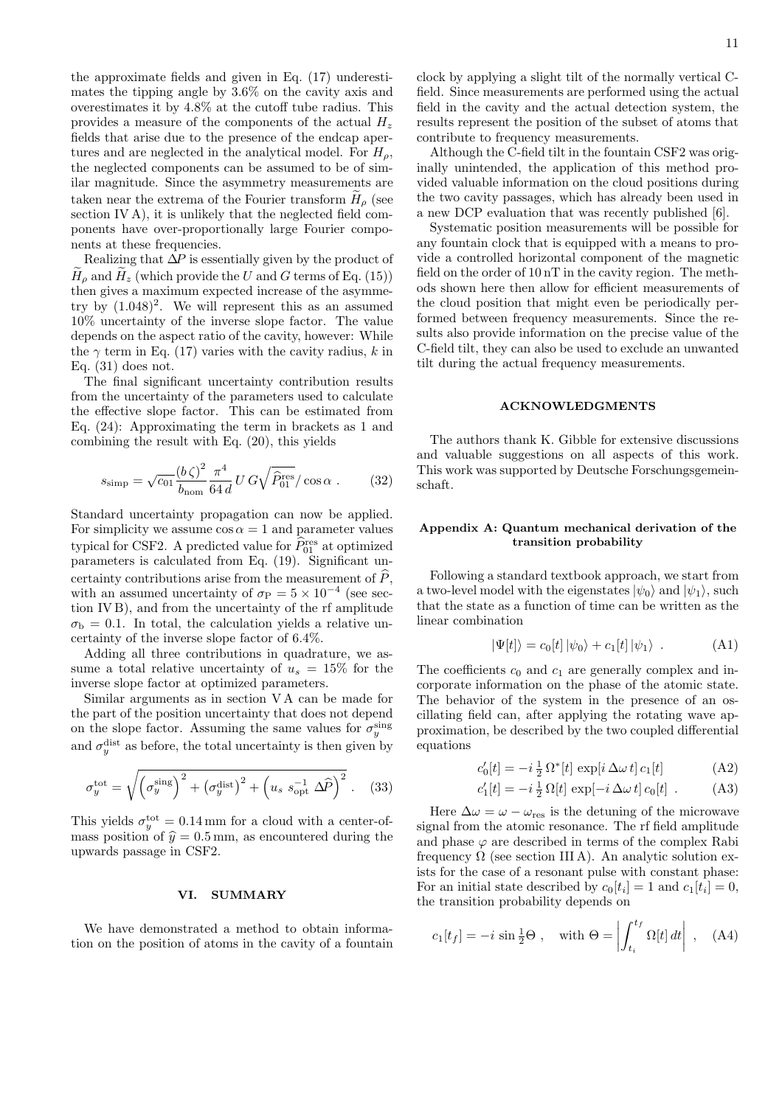the approximate fields and given in Eq. (17) underestimates the tipping angle by 3.6% on the cavity axis and overestimates it by 4.8% at the cutoff tube radius. This provides a measure of the components of the actual  $H_z$ fields that arise due to the presence of the endcap apertures and are neglected in the analytical model. For  $H_{\rho}$ , the neglected components can be assumed to be of similar magnitude. Since the asymmetry measurements are taken near the extrema of the Fourier transform  $H_{\rho}$  (see section IV A), it is unlikely that the neglected field components have over-proportionally large Fourier components at these frequencies.

Realizing that  $\Delta P$  is essentially given by the product of  $H_{\rho}$  and  $H_z$  (which provide the U and G terms of Eq. (15)) then gives a maximum expected increase of the asymmetry by  $(1.048)^2$ . We will represent this as an assumed 10% uncertainty of the inverse slope factor. The value depends on the aspect ratio of the cavity, however: While the  $\gamma$  term in Eq. (17) varies with the cavity radius, k in Eq. (31) does not.

The final significant uncertainty contribution results from the uncertainty of the parameters used to calculate the effective slope factor. This can be estimated from Eq. (24): Approximating the term in brackets as 1 and combining the result with Eq. (20), this yields

$$
s_{\rm simp} = \sqrt{c_{01} \frac{(b \zeta)^2}{b_{\rm nom}} \frac{\pi^4}{64 d} U G \sqrt{\hat{P}_{01}^{\rm res}} / \cos \alpha . \tag{32}
$$

Standard uncertainty propagation can now be applied. For simplicity we assume  $\cos \alpha = 1$  and parameter values typical for CSF2. A predicted value for  $\hat{P}_{01}^{\text{res}}$  at optimized parameters is calculated from Eq. (19). Significant uncertainty contributions arise from the measurement of  $\ddot{P}$ , with an assumed uncertainty of  $\sigma_{\rm P} = 5 \times 10^{-4}$  (see section IV B), and from the uncertainty of the rf amplitude  $\sigma_{\rm b} = 0.1$ . In total, the calculation yields a relative uncertainty of the inverse slope factor of 6.4%.

Adding all three contributions in quadrature, we assume a total relative uncertainty of  $u_s = 15\%$  for the inverse slope factor at optimized parameters.

Similar arguments as in section V A can be made for the part of the position uncertainty that does not depend on the slope factor. Assuming the same values for  $\sigma_y^{\text{sing}}$ and  $\sigma_y^{\text{dist}}$  as before, the total uncertainty is then given by

$$
\sigma_y^{\text{tot}} = \sqrt{\left(\sigma_y^{\text{sing}}\right)^2 + \left(\sigma_y^{\text{dist}}\right)^2 + \left(u_s \ s_{\text{opt}}^{-1} \ \Delta \widehat{P}\right)^2} \ . \tag{33}
$$

This yields  $\sigma_y^{\text{tot}} = 0.14 \,\text{mm}$  for a cloud with a center-ofmass position of  $\hat{y} = 0.5$  mm, as encountered during the upwards passage in CSF2.

## VI. SUMMARY

We have demonstrated a method to obtain information on the position of atoms in the cavity of a fountain clock by applying a slight tilt of the normally vertical Cfield. Since measurements are performed using the actual field in the cavity and the actual detection system, the results represent the position of the subset of atoms that contribute to frequency measurements.

Although the C-field tilt in the fountain CSF2 was originally unintended, the application of this method provided valuable information on the cloud positions during the two cavity passages, which has already been used in a new DCP evaluation that was recently published [6].

Systematic position measurements will be possible for any fountain clock that is equipped with a means to provide a controlled horizontal component of the magnetic field on the order of 10 nT in the cavity region. The methods shown here then allow for efficient measurements of the cloud position that might even be periodically performed between frequency measurements. Since the results also provide information on the precise value of the C-field tilt, they can also be used to exclude an unwanted tilt during the actual frequency measurements.

## ACKNOWLEDGMENTS

The authors thank K. Gibble for extensive discussions and valuable suggestions on all aspects of this work. This work was supported by Deutsche Forschungsgemeinschaft.

## Appendix A: Quantum mechanical derivation of the transition probability

Following a standard textbook approach, we start from a two-level model with the eigenstates  $|\psi_0\rangle$  and  $|\psi_1\rangle$ , such that the state as a function of time can be written as the linear combination

$$
|\Psi[t]\rangle = c_0[t] |\psi_0\rangle + c_1[t] |\psi_1\rangle . \qquad (A1)
$$

The coefficients  $c_0$  and  $c_1$  are generally complex and incorporate information on the phase of the atomic state. The behavior of the system in the presence of an oscillating field can, after applying the rotating wave approximation, be described by the two coupled differential equations

$$
c'_{0}[t] = -i\frac{1}{2}\,\Omega^{*}[t]\,\exp[i\,\Delta\omega\,t]\,c_{1}[t] \tag{A2}
$$

$$
c_1'[t] = -i\frac{1}{2}\Omega[t] \exp[-i\,\Delta\omega\,t] c_0[t] . \tag{A3}
$$

Here  $\Delta \omega = \omega - \omega_{\text{res}}$  is the detuning of the microwave signal from the atomic resonance. The rf field amplitude and phase  $\varphi$  are described in terms of the complex Rabi frequency  $\Omega$  (see section III A). An analytic solution exists for the case of a resonant pulse with constant phase: For an initial state described by  $c_0[t_i] = 1$  and  $c_1[t_i] = 0$ , the transition probability depends on

$$
c_1[t_f] = -i \sin \frac{1}{2} \Theta
$$
, with  $\Theta = \left| \int_{t_i}^{t_f} \Omega[t] dt \right|$ , (A4)